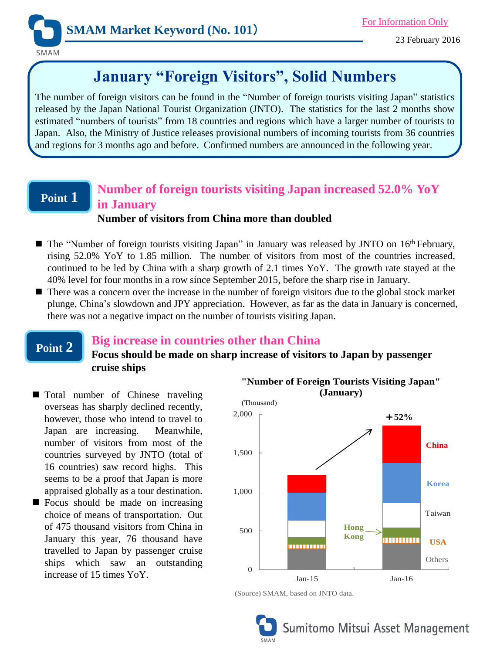

# **January "Foreign Visitors", Solid Numbers**

The number of foreign visitors can be found in the "Number of foreign tourists visiting Japan" statistics released by the Japan National Tourist Organization (JNTO). The statistics for the last 2 months show estimated "numbers of tourists" from 18 countries and regions which have a larger number of tourists to Japan. Also, the Ministry of Justice releases provisional numbers of incoming tourists from 36 countries and regions for 3 months ago and before. Confirmed numbers are announced in the following year.

## **Point 1**

**Point 2**

## **Number of foreign tourists visiting Japan increased 52.0% YoY in January Number of visitors from China more than doubled**

- The "Number of foreign tourists visiting Japan" in January was released by JNTO on 16<sup>th</sup> February, rising 52.0% YoY to 1.85 million. The number of visitors from most of the countries increased, continued to be led by China with a sharp growth of 2.1 times YoY. The growth rate stayed at the 40% level for four months in a row since September 2015, before the sharp rise in January.
- There was a concern over the increase in the number of foreign visitors due to the global stock market plunge, China's slowdown and JPY appreciation. However, as far as the data in January is concerned, there was not a negative impact on the number of tourists visiting Japan.

## **Big increase in countries other than China**

## **Focus should be made on sharp increase of visitors to Japan by passenger cruise ships**

- **Total number of Chinese traveling** overseas has sharply declined recently, however, those who intend to travel to Japan are increasing. Meanwhile, number of visitors from most of the countries surveyed by JNTO (total of 16 countries) saw record highs. This seems to be a proof that Japan is more appraised globally as a tour destination.
- Focus should be made on increasing choice of means of transportation. Out of 475 thousand visitors from China in January this year, 76 thousand have travelled to Japan by passenger cruise ships which saw an outstanding increase of 15 times YoY.



**"Number of Foreign Tourists Visiting Japan"**

<sup>(</sup>Source) SMAM, based on JNTO data.